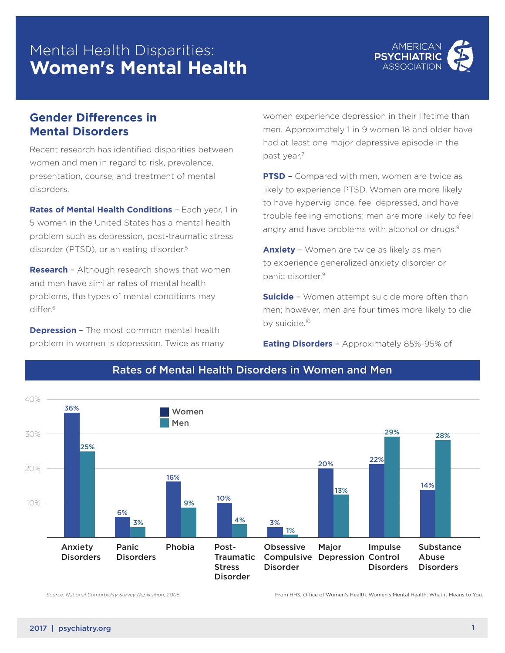# Mental Health Disparities: **Women's Mental Health**



### **Gender Differences in Mental Disorders**

Recent research has identified disparities between women and men in regard to risk, prevalence, presentation, course, and treatment of mental disorders.

**Rates of Mental Health Conditions** – Each year, 1 in 5 women in the United States has a mental health problem such as depression, post-traumatic stress disorder (PTSD), or an eating disorder.<sup>5</sup>

**Research** – Although research shows that women and men have similar rates of mental health problems, the types of mental conditions may differ.<sup>6</sup>

**Depression** – The most common mental health problem in women is depression. Twice as many women experience depression in their lifetime than men. Approximately 1 in 9 women 18 and older have had at least one major depressive episode in the past year.7

**PTSD** – Compared with men, women are twice as likely to experience PTSD. Women are more likely to have hypervigilance, feel depressed, and have trouble feeling emotions; men are more likely to feel angry and have problems with alcohol or drugs.<sup>9</sup>

**Anxiety** – Women are twice as likely as men to experience generalized anxiety disorder or panic disorder.9

**Suicide** - Women attempt suicide more often than men; however, men are four times more likely to die by suicide.10

**Eating Disorders** – Approximately 85%-95% of



#### Rates of Mental Health Disorders in Women and Men

*Source: National Comorbidity Survey Replication, 2005*

*Source: National Comorbidity Survey Replication, 2005* From HHS, Office of Women's Health. Women's Mental Health: What it Means to You.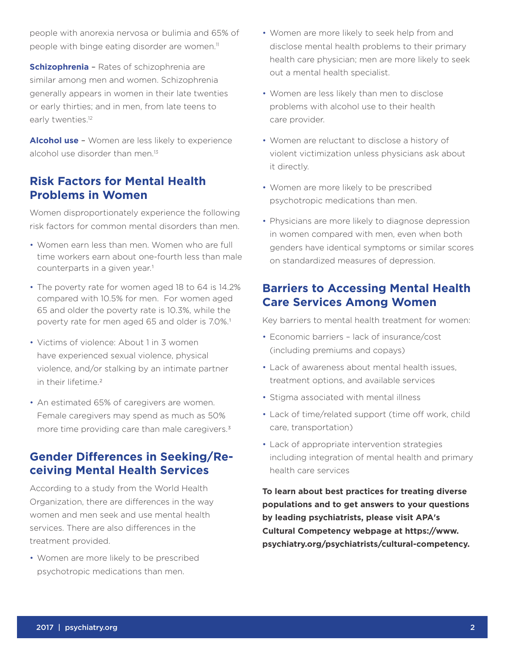people with anorexia nervosa or bulimia and 65% of people with binge eating disorder are women.<sup>11</sup>

**Schizophrenia** – Rates of schizophrenia are similar among men and women. Schizophrenia generally appears in women in their late twenties or early thirties; and in men, from late teens to early twenties.<sup>12</sup>

**Alcohol use** – Women are less likely to experience alcohol use disorder than men.<sup>13</sup>

### **Risk Factors for Mental Health Problems in Women**

Women disproportionately experience the following risk factors for common mental disorders than men.

- Women earn less than men. Women who are full time workers earn about one-fourth less than male counterparts in a given year.<sup>1</sup>
- The poverty rate for women aged 18 to 64 is 14.2% compared with 10.5% for men. For women aged 65 and older the poverty rate is 10.3%, while the poverty rate for men aged 65 and older is 7.0%.<sup>1</sup>
- Victims of violence: About 1 in 3 women have experienced sexual violence, physical violence, and/or stalking by an intimate partner in their lifetime<sup>2</sup>
- An estimated 65% of caregivers are women. Female caregivers may spend as much as 50% more time providing care than male caregivers.<sup>3</sup>

## **Gender Differences in Seeking/Receiving Mental Health Services**

According to a study from the World Health Organization, there are differences in the way women and men seek and use mental health services. There are also differences in the treatment provided.

• Women are more likely to be prescribed psychotropic medications than men.

- Women are more likely to seek help from and disclose mental health problems to their primary health care physician; men are more likely to seek out a mental health specialist.
- Women are less likely than men to disclose problems with alcohol use to their health care provider.
- Women are reluctant to disclose a history of violent victimization unless physicians ask about it directly.
- Women are more likely to be prescribed psychotropic medications than men.
- Physicians are more likely to diagnose depression in women compared with men, even when both genders have identical symptoms or similar scores on standardized measures of depression.

### **Barriers to Accessing Mental Health Care Services Among Women**

Key barriers to mental health treatment for women:

- Economic barriers lack of insurance/cost (including premiums and copays)
- Lack of awareness about mental health issues, treatment options, and available services
- Stigma associated with mental illness
- Lack of time/related support (time off work, child care, transportation)
- Lack of appropriate intervention strategies including integration of mental health and primary health care services

**To learn about best practices for treating diverse populations and to get answers to your questions by leading psychiatrists, please visit APA's Cultural Competency webpage at https://www. psychiatry.org/psychiatrists/cultural-competency.**